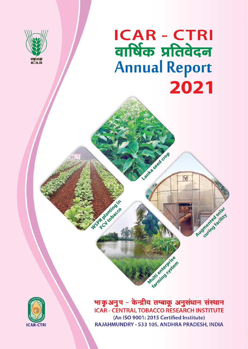

## ICAR - CTRI<br>वार्षिक प्रतिवेदन **Annual Report** 2021

Lanka seed crop

Augmented solar

MSPR Plantingin

### भाकृअनुप - केन्द्रीय तम्बाकू अनुसंधान संस्थान **ICAR - CENTRAL TOBACCO RESEARCH INSTITUTE** (An ISO 9001: 2015 Certified Institute) RAJAHMUNDRY - 533 105, ANDHRA PRADESH, INDIA

Multi enterprise Farmings ystem

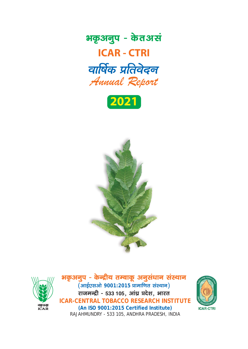







भकृअनुप - केन्द्रीय तम्बाकू अनुसंधान संस्थान (आईएसओ 9001:2015 प्रामाणित संस्थान) राजमन्द्री - 533 105, आंध्र प्रदेश, भारत **ICAR-CENTRAL TOBACCO RESEARCH INSTITUTE** (An ISO 9001:2015 Certified Institute) RAJAHMUNDRY - 533 105, ANDHRA PRADESH, INDIA

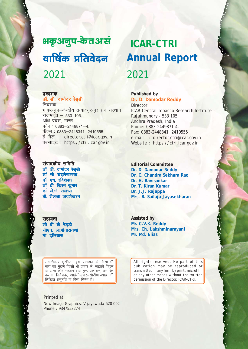### **ƒÁu |N˛ üuoƒztå Annual Report** 2021 **भकृअनुप-केतअसं**

#### प्रकाशक डॉ. डी. दामोदर रेड्डी

निदेशक भाकृअनुप–केन्द्रीय तम्बाकू अनुसंधान संस्थान राजमन्ड्री – 533 105, आंध्र प्रदेश, भारत फोन: 0883-2449871-4. फेंक्स : 0883-2448341, 2410555 ई–मेल : director.ctri@icar.gov.in वेबसाइट: https://ctri.icar.gov.in

#### संपादकीय समिति

डॉ. डी. दामोदर रेड्डी लाला संग्रहणे परंपर<br>संग्रहणे व्यवरराव डॉ. एच. रविशंकर डॉ. टी. किरन कुमार डॉ. जे.जे. राजप्पा बी. शैलजा जयशेखरन

सहायता सी. वी. के. रेड्डी सीएच. लक्ष्मीनारायणी मो. इलियास

2021 **ICAR-CTRI**

#### **Published by Dr. D. Damodar Reddy**

**Director** ICAR-Central Tobacco Research Institute Rajahmundry - 533 105, Andhra Pradesh, India Phone: 0883-2449871-4, Fax: 0883-2448341, 2410555 e-mail : director.ctri@icar.gov.in Website: https://ctri.icar.gov.in

**Editorial Committee Dr. D. Damodar Reddy Dr. C. Chandra Sekhara Rao Dr. H. Ravisankar Dr. T. Kiran Kumar Dr. J.J. Rajappa Mrs. B. Sailaja Jayasekharan**

**Assisted by Mr. C.V.K. Reddy Mrs. Ch. Lakshminarayani Mr. Md. Elias**

सर्वाधिकार सुरक्षित। इस प्रकाशन के किसी भी भाग का मुद्रण किसी भी प्रकार से, माइक्रो फिल्म ;k vU; dksbZ ek/;e }kjk iqu% izdk"ku] izlkfjr करना, निदेशक, आईसीएऑर-सीटीआरआई की लिखित अनुमति के बिना निषेध है।

Printed at

New Image Graphics, Vijayawada-520 002 Phone : 9347553274

All rights reserved. No part of this publication may be reproduced or transmitted in any form by print, microfilm or any other means without the written permission of the Director, ICAR-CTRI.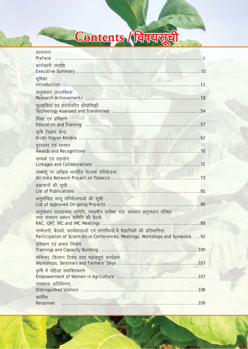# Contents (विषयासूची

| प्रस्तावना                                                                       |
|----------------------------------------------------------------------------------|
| Preface                                                                          |
| कार्यकारी सारांश                                                                 |
|                                                                                  |
| भूमिका                                                                           |
|                                                                                  |
| अनुसंधान उपलब्धियां                                                              |
|                                                                                  |
| मूल्यांकित एवं हस्तांतरित प्रौद्योगिकी                                           |
|                                                                                  |
| शिक्षा एवं प्रशिक्षण                                                             |
|                                                                                  |
| कृषि विज्ञान केन्द्र                                                             |
| .62                                                                              |
| पुरस्कार एवं सम्मान                                                              |
| .70                                                                              |
| सम्पर्क एवं सहयोग                                                                |
| Linkages and Collaborations                                                      |
| तम्बाकू पर अखिल भारतीय नेटवर्क परियोजना                                          |
| .73                                                                              |
| प्रकाशनों की सूची                                                                |
| <b>List of Publications</b>                                                      |
| अनुमोदित चालू परियोजनाओं की सूची                                                 |
|                                                                                  |
| अनुसंधान सलाहकार समिति, पंचवर्षीय समीक्षा दल, संस्थान अनुसंधान परिषद             |
| तथा संस्थान प्रबंधन समिति की बैठकें                                              |
| RAC, QRT, IRC and IMC Meetings<br>89<br>.<br>.                                   |
| सम्मेलनों, बैठकों, कार्यशालाओं एवं संगोष्ठियों में वैज्ञानिकों की प्रतिभागिता    |
| Participation of Scientists in Conferences, Meetings, Workshops and Symposia  92 |
| प्रशिक्षण एवं क्षमता निर्माण                                                     |
|                                                                                  |
| सेमिनार, किसान दिवस तथा महत्वपूर्ण कार्यक्रम                                     |
|                                                                                  |
| कृषि में महिला सशक्तिकरण                                                         |
|                                                                                  |
| गणमान्य अतिथिगण                                                                  |
|                                                                                  |
| कार्मिक                                                                          |
| Personnel                                                                        |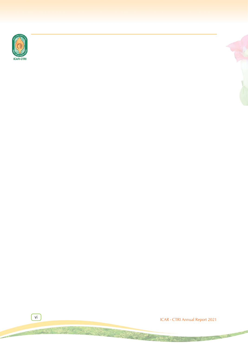





18

vi J<br>ICAR - CTRI Annual Report 2021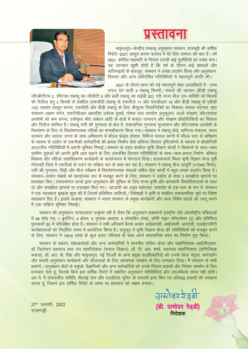

भाकृअनुप–केन्द्रीय तम्बाकू अनुसंधान संस्थान, राजमंड्री की वार्षिक रिपोर्ट–2021 प्रस्तुत करना वास्तव में मेरे लिए सम्मान की बात है। वर्ष 2021, कोविड महामारी से निरंतर उपजी कई चुनौतियों का गवाह बना। यह जानकर खुशी होती है कि वर्ष के दौरान कई बाधाओं और कठिनाइयों के बावजूद, संस्थान ने अच्छा प्रदर्शन किया और अनुसंधान, विस्तार और अन्य अधिदेषित गतिविधियों में महत्वपूर्ण प्रगति की।

2021 के दौरान प्राप्त की गई महत्वपूर्ण शोध उपलब्धियों में : उच्च उपज देने वाली 3 तंबाकू किस्मों / संकरों की पहचान (बीड़ी तंबाकू



जीएबीटीएच 2, रस्टिका तंबाकू का जीसीटी 5 और बर्ली तंबाकू का वाईबी 22); एपी राज्य बीज उप–समिति को किस्मों की रिलीज हेतू 3 किस्मों से संबंधित (एफसीवी तंबाकू के एफसीजे 11 और एफसीआर 15 और बीड़ी तंबाकू के एबीडी 132) प्रस्ताव प्रस्तुत करना; एफसीवी और बीड़ी तंबाकू के लिए डीयूएस दिशानिर्देशों का विकास; फसल गहनता, मृदा संसाधन लक्षण वर्णन, एसटीसीआर आधारित उर्वरक नुस्खे, पोषक तत्व उपयोग अनुकूलन, ऊर्जा संरक्षण, कीटनाशक अवशेषों को कम करना, एकीकृत कीट प्रबंधन आदि के क्षेत्रों में फसल उत्पादन और संरक्षण प्रौद्योगिकियों का विकास और रिलीज शामिल हैं। तंबाकू पत्ती की गुणवत्ता के क्षेत्र में, रासायनिक गुणवत्ता मूल्यांकन और कीटनाशक अवशेषों के विश्लेषण के लिए दो विश्लेषणात्मक तरीकों का मानकीकरण किया गया। संस्थान ने तंबाकू बोर्ड, वाणिज्य मंत्रालय, भारत सरकार और व्यापार जगत के साथ अभिसरण में फील्ड फ्रेंडस प्रोग्राम, विभिन्न फसल चरणों में फील्ड स्तर के प्रशिक्षण के माध्यम से उद्योग के तकनीकी कर्मचारियों की क्षमता निर्माण जैसे अभिनव विस्तार दृष्टिकोणों के माध्यम से प्रौद्योगिकी आउटरीच गतिविधियों में अग्रणी भूमिका निभाई। संस्थान के तहत कार्यरत कृशि विज्ञान केन्द्रों ने किसानों के साथ–साथ ग्रामीण युवाओं को अपनी कृषि आय बढ़ाने के लिए अग्रपंक्ति विस्तार गतिविधियों के साथ–साथ क्षमता निर्माण, कौशल विकास और महिला सशक्तिकरण कार्यक्रमों के कार्यान्वयन में योगदान दिया। कलवाचर्ला स्थित कृषि विज्ञान केन्द्र पूर्वी गोदावरी जिले में एफपीओ के गठन पर सक्रिय रूप से काम कर रहा है। संस्थान ने तंबाकू बीज आपूर्ति (>7000 किग्रा), पत्ती की गुणवत्ता, मिट्टी और बीज परीक्षण में विश्लेषणात्मक सेवाओं सहित सेवा कार्यों में बहुत अच्छा प्रदर्शन किया है। संस्थान-उद्योग संबंधों को कार्यात्मक रूप से मजबूत करने के लिए, संस्थान ने उद्योग के साथ 3 समझौता ज्ञापनों पर हस्ताक्षर किए। स्नातकोत्तर छात्रों द्वारा अनुसंधान की सुविधा के लिए राज्य कृषि और बागवानी विश्वविद्यालयों के साथ दो और समझौता ज्ञापनों पर हस्ताक्षर किए गए। 'आजादी का अमृत महोत्सव' समारोह के एक भाग के रूप में, संस्थान ने एक व्याख्यान श्रृंखला शुरू की है जिसमें प्रतिष्ठित व्यक्तियों / विशेषज्ञों ने कृषि से संबंधित समसामयिक मुद्दों पर विशेष व्याख्यान दिए हैं। इसके अलावा, संस्थान ने भारत सरकार के प्रमुख कार्यक्रमों और अन्य विशेष पहलों को लागू करने में एक सक्रिय भूमिका निभाई।

संस्थान की अनुसंधान उत्पादकता उत्कृष्ट रही है जैसा कि अनुसंधान प्रकाशनों (राष्ट्रीय और अंतर्राष्ट्रीय पत्रिकाओं में 46 शोध पत्र, 1 बुलेटिन, 4 ब्रोचर, 9 पुस्तक अध्याय, 5 लोकप्रिय लेख), कॉपी राइट सॉफ्टवेयर (3) और प्रतिष्ठित पुरस्कारों (6) में परिलक्षित होता है। संस्थान ने सभी अनिवार्य बैठकें अर्थात आईआरसी, आईएमसी, आरएसी, एआईएनपीटी कार्यशालाओं को निर्धारित समय में आयोजित किया है। कंदुकूर में कृषि विज्ञान केन्द्र की गतिविधियों को मजबूत करने के लिए, संस्थान ने 199.8 लाख के कूल बजट परिव्यय के साथ अपने प्रशासनिक भवन का निर्माण पूरा किया।

संस्थान के प्रबंधन, शोधकर्ताओं और अन्य कर्मचारियों ने माननीय सचिव–डेयर और महानिदेशक–आईसीएआर, डॉ त्रिलोचन महापात्र तथा उप महानिदेशक (फसल विज्ञान), डॉ. टी. आर. शर्मा, सहायक महानिदेशक (वाणिज्यिक फसल), डॉ. आर. के. सिंह और भाकृअनुप, नई दिल्ली के अन्य प्रमुख पदाधिकारियों को उनके प्रेरक नेतृत्व, मार्गदर्शन और प्रभावी अनुसंधान कार्यक्रमों और योजनाओं के लिए आवश्यक समर्थन के लिए धन्यवाद दिया। मैं संस्थान के सभी प्रभागों / अनुसंधान केंद्रों के प्रमुखों, वैज्ञानिकों और अन्य कर्मचारियों को उनके निरंतर प्रयासों और निरंतर समर्थन के लिए धन्यवाद देता हूं, जिनके बिना इस वार्षिक रिपोर्ट में संक्षेपित अनुसंधान गतिविधियां और उपलब्धियां संभव नहीं होतीं। अंत में, मैं संपादकीय समिति, पीएमई सेल और एलडीएस यूनिट के सदस्यों द्वारा किए गए प्रतिबद्ध प्रयासों की सराहना करता हूं, जिसने इस वार्षिक रिपोर्ट के समय पर प्रकाशन को सक्षम बनाया।

दामांकर 2ईडी (डी. दामोदर रेड्डी) निदेशक

27<sup>th</sup> जनवरी, 2022 राजमन्ड़ी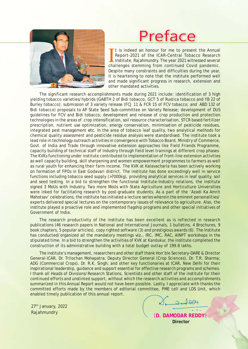



It is indeed an honour for me to present the Annual<br>Report-2021 of the ICAR-Central Tobacco Research<br>Institute, Rajahmundry. The year 2021 witnessed several<br>challenges stemming from continued Covid pandemic. t is indeed an honour for me to present the Annual Report-2021 of the ICAR-Central Tobacco Research Institute, Rajahmundry. The year 2021 witnessed several Despite many constraints and difficulties during the year, it is heartening to note that the institute performed well and made significant progress in research, extension and other mandated activities.

The significant research accomplishments made during 2021 include: identification of 3 high yielding tobacco varieties/hybrids (GABTH 2 of Bidi tobacco, GCT 5 of Rustica tobacco and YB 22 of Burley tobacco); submission of 3 variety release (FCJ 11 & FCR 15 of FCV tobacco; and ABD 132 of Bidi tobacco) proposals to AP State Seed Sub-committee on Variety Release; development of DUS guidelines for FCV and Bidi tobacco; development and release of crop production and protection technologies in the areas of crop intensification, soil resource characterisation, STCR based fertilizer prescription, nutrient use optimization, energy conservation, minimisation of pesticide residues, integrated pest management *etc*. In the area of tobacco leaf quality, two analytical methods for chemical quality assessment and pesticide residue analysis were standardised. The institute took a lead role in technology outreach activities in convergence with Tobacco Board, Ministry of Commerce, Govt. of India and Trade through innovative extension approaches like Field Friends Programme, capacity building of technical staff of Industry through field level trainings at different crop phases. The KVKs functioning under institute contributed to implementation of front-line extension activities as well capacity building, skill sharpening and women empowerment programmes to farmers as well as rural youth for enhancing their farm income. The KVK at Kalavacharla has been actively working on formation of FPOs in East Godavari district. The institute has done exceedingly well in service functions including tobacco seed supply (>7000kg), providing analytical services in leaf quality, soil and seed testing. In a bid to strengthen the functional Institute-Industry relations, the institute signed 3 MoUs with Industry. Two more MoUs with State Agriculture and Horticulture Universities were inked for facilitating research by post-graduate students. As a part of the 'Azadi Ka Amrit Mahotsav' celebrations, the institute has initiated a lecture series wherein the eminent personalities/ experts delivered special lectures on the contemporary issues of relevance to agriculture. Also, the institute played a proactive role and implemented flagship programs and other special initiatives of Government of India.

The research productivity of the institute has been excellent as is reflected in research publications (46 research papers in National and International Journals, 1 bulletins, 4 Brochures, 9 book chapters, 5 popular articles), copy righted software (3) and prestigious awards (6). The Institute has conducted/organized all the mandatory meetings *viz.,* IRC, IMC, RAC, AINPT workshops in the stipulated time. In a bid to strengthen the activities of KVK at Kandukur, the institute completed the construction of its administrative building with a total budget outlay of 199.8 lakhs.

The institute's management, researchers and other staff thank Hon'ble Secretary-DARE & Director General-ICAR, Dr. Trilochan Mohapatra; Deputy Director General (Crop Sciences), Dr. T.R. Sharma; ADG (Commercial Crops), Dr. R.K. Singh; and other key functionaries at ICAR, New Delhi for their inspirational leadership, guidance and support essential for effective research programs and schemes. I thank all Heads of Divisions/Research Stations, Scientists and other staff of the institute for their continued efforts and unstinted support, without which the research activities and accomplishments summarized in this Annual Report would not have been possible. Lastly, I appreciate with thanks the committed efforts made by the members of editorial committee, PME cell and LDS Unit, which enabled timely publication of this annual report.

27th January, 2022 Rajahmundry

 $\lambda = 2$  and  $904$ 

(D. DAMODAR REDDY) **Director**